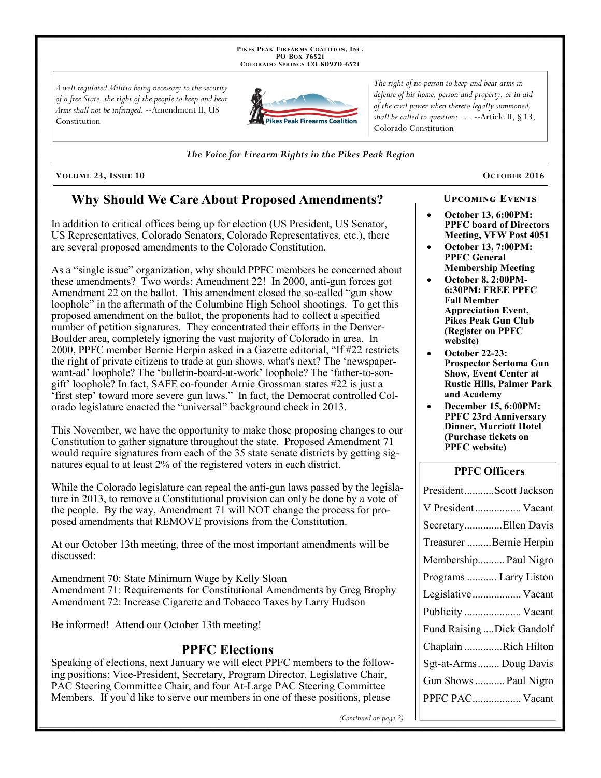PIKES PEAK FIREARMS COALITION, INC. PO Box 76521 COLORADO SPRINGS CO 80970-6521

A well regulated Militia being necessary to the security of a free State, the right of the people to keep and bear Arms shall not be infringed. --Amendment II, US Constitution



The right of no person to keep and bear arms in defense of his home, person and property, or in aid of the civil power when thereto legally summoned, shall be called to question;  $\ldots$  --Article II, § 13, Colorado Constitution

The Voice for Firearm Rights in the Pikes Peak Region

VOLUME 23, ISSUE 10

# **Why Should We Care About Proposed Amendments?**

In addition to critical offices being up for election (US President, US Senator, US Representatives, Colorado Senators, Colorado Representatives, etc.), there are several proposed amendments to the Colorado Constitution.

As a "single issue" organization, why should PPFC members be concerned about these amendments? Two words: Amendment 22! In 2000, anti-gun forces got Amendment 22 on the ballot. This amendment closed the so-called "gun show loophole" in the aftermath of the Columbine High School shootings. To get this proposed amendment on the ballot, the proponents had to collect a specified number of petition signatures. They concentrated their efforts in the Denver-Boulder area, completely ignoring the vast majority of Colorado in area. In 2000, PPFC member Bernie Herpin asked in a Gazette editorial, "If #22 restricts" the right of private citizens to trade at gun shows, what's next? The 'newspaperwant-ad' loophole? The 'bulletin-board-at-work' loophole? The 'father-to-songift' loophole? In fact, SAFE co-founder Arnie Grossman states #22 is just a 'first step' toward more severe gun laws." In fact, the Democrat controlled Colorado legislature enacted the "universal" background check in 2013.

This November, we have the opportunity to make those proposing changes to our Constitution to gather signature throughout the state. Proposed Amendment 71 would require signatures from each of the 35 state senate districts by getting signatures equal to at least 2% of the registered voters in each district.

While the Colorado legislature can repeal the anti-gun laws passed by the legislature in 2013, to remove a Constitutional provision can only be done by a vote of the people. By the way, Amendment 71 will NOT change the process for proposed amendments that REMOVE provisions from the Constitution.

At our October 13th meeting, three of the most important amendments will be discussed:

Amendment 70: State Minimum Wage by Kelly Sloan Amendment 71: Requirements for Constitutional Amendments by Greg Brophy Amendment 72: Increase Cigarette and Tobacco Taxes by Larry Hudson

Be informed! Attend our October 13th meeting!

## **PPFC Elections**

Speaking of elections, next January we will elect PPFC members to the following positions: Vice-President, Secretary, Program Director, Legislative Chair, PAC Steering Committee Chair, and four At-Large PAC Steering Committee Members. If you'd like to serve our members in one of these positions, please

OCTOBER 2016

# **UPCOMING EVENTS**

- **October 13, 6:00PM: PPFC** board of Directors Meeting, VFW Post 4051
- **October 13, 7:00PM: PPFC General Membership Meeting**
- October 8, 2:00PM-**6:30PM: FREE PPFC Fall Member Appreciation Event,** Pikes Peak Gun Club (Register on PPFC website)
- **October 22-23: Prospector Sertoma Gun** Show, Event Center at **Rustic Hills, Palmer Park** and Academy
- December 15, 6:00PM: **PPFC 23rd Anniversary Dinner, Marriott Hotel** (Purchase tickets on **PPFC** website)

#### **PPFC Officers**

| PresidentScott Jackson     |
|----------------------------|
| V President  Vacant        |
| SecretaryEllen Davis       |
| Treasurer Bernie Herpin    |
| Membership Paul Nigro      |
| Programs  Larry Liston     |
| Legislative Vacant         |
| Publicity  Vacant          |
| Fund Raising  Dick Gandolf |
| Chaplain Rich Hilton       |
| Sgt-at-Arms Doug Davis     |
| Gun Shows  Paul Nigro      |
| PPFC PAC Vacant            |
|                            |

(Continued on page 2)